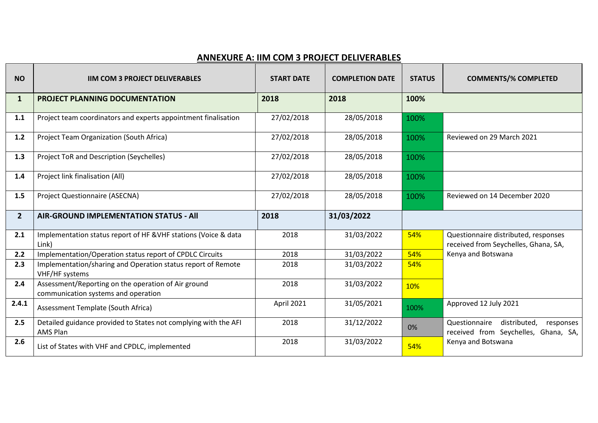## **ANNEXURE A: IIM COM 3 PROJECT DELIVERABLES**

| <b>NO</b>      | <b>IIM COM 3 PROJECT DELIVERABLES</b>                                                      | <b>START DATE</b> | <b>COMPLETION DATE</b> | <b>STATUS</b> | <b>COMMENTS/% COMPLETED</b>                                                        |
|----------------|--------------------------------------------------------------------------------------------|-------------------|------------------------|---------------|------------------------------------------------------------------------------------|
| $\mathbf{1}$   | <b>PROJECT PLANNING DOCUMENTATION</b>                                                      | 2018              | 2018                   | 100%          |                                                                                    |
| 1.1            | Project team coordinators and experts appointment finalisation                             | 27/02/2018        | 28/05/2018             | 100%          |                                                                                    |
| $1.2$          | Project Team Organization (South Africa)                                                   | 27/02/2018        | 28/05/2018             | 100%          | Reviewed on 29 March 2021                                                          |
| 1.3            | <b>Project ToR and Description (Seychelles)</b>                                            | 27/02/2018        | 28/05/2018             | 100%          |                                                                                    |
| 1.4            | Project link finalisation (All)                                                            | 27/02/2018        | 28/05/2018             | 100%          |                                                                                    |
| 1.5            | <b>Project Questionnaire (ASECNA)</b>                                                      | 27/02/2018        | 28/05/2018             | 100%          | Reviewed on 14 December 2020                                                       |
|                |                                                                                            |                   |                        |               |                                                                                    |
| $\overline{2}$ | <b>AIR-GROUND IMPLEMENTATION STATUS - AII</b>                                              | 2018              | 31/03/2022             |               |                                                                                    |
| 2.1            | Implementation status report of HF &VHF stations (Voice & data<br>Link)                    | 2018              | 31/03/2022             | 54%           | Questionnaire distributed, responses<br>received from Seychelles, Ghana, SA,       |
| 2.2            | Implementation/Operation status report of CPDLC Circuits                                   | 2018              | 31/03/2022             | 54%           | Kenya and Botswana                                                                 |
| 2.3            | Implementation/sharing and Operation status report of Remote<br>VHF/HF systems             | 2018              | 31/03/2022             | 54%           |                                                                                    |
| 2.4            | Assessment/Reporting on the operation of Air ground<br>communication systems and operation | 2018              | 31/03/2022             | 10%           |                                                                                    |
| 2.4.1          | Assessment Template (South Africa)                                                         | April 2021        | 31/05/2021             | 100%          | Approved 12 July 2021                                                              |
| 2.5            | Detailed guidance provided to States not complying with the AFI<br><b>AMS Plan</b>         | 2018              | 31/12/2022             | 0%            | Questionnaire<br>distributed,<br>responses<br>received from Seychelles, Ghana, SA, |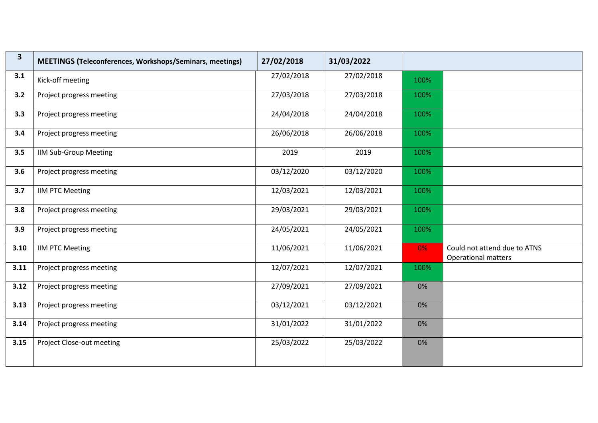| $\mathbf{3}$ | MEETINGS (Teleconferences, Workshops/Seminars, meetings) | 27/02/2018 | 31/03/2022 |      |                                                            |
|--------------|----------------------------------------------------------|------------|------------|------|------------------------------------------------------------|
| 3.1          | Kick-off meeting                                         | 27/02/2018 | 27/02/2018 | 100% |                                                            |
| 3.2          | Project progress meeting                                 | 27/03/2018 | 27/03/2018 | 100% |                                                            |
| 3.3          | Project progress meeting                                 | 24/04/2018 | 24/04/2018 | 100% |                                                            |
| 3.4          | Project progress meeting                                 | 26/06/2018 | 26/06/2018 | 100% |                                                            |
| 3.5          | <b>IIM Sub-Group Meeting</b>                             | 2019       | 2019       | 100% |                                                            |
| 3.6          | Project progress meeting                                 | 03/12/2020 | 03/12/2020 | 100% |                                                            |
| 3.7          | <b>IIM PTC Meeting</b>                                   | 12/03/2021 | 12/03/2021 | 100% |                                                            |
| 3.8          | Project progress meeting                                 | 29/03/2021 | 29/03/2021 | 100% |                                                            |
| 3.9          | Project progress meeting                                 | 24/05/2021 | 24/05/2021 | 100% |                                                            |
| 3.10         | <b>IIM PTC Meeting</b>                                   | 11/06/2021 | 11/06/2021 | 0%   | Could not attend due to ATNS<br><b>Operational matters</b> |
| 3.11         | Project progress meeting                                 | 12/07/2021 | 12/07/2021 | 100% |                                                            |
| 3.12         | Project progress meeting                                 | 27/09/2021 | 27/09/2021 | 0%   |                                                            |
| 3.13         | Project progress meeting                                 | 03/12/2021 | 03/12/2021 | 0%   |                                                            |
| 3.14         | Project progress meeting                                 | 31/01/2022 | 31/01/2022 | 0%   |                                                            |
| 3.15         | Project Close-out meeting                                | 25/03/2022 | 25/03/2022 | 0%   |                                                            |
|              |                                                          |            |            |      |                                                            |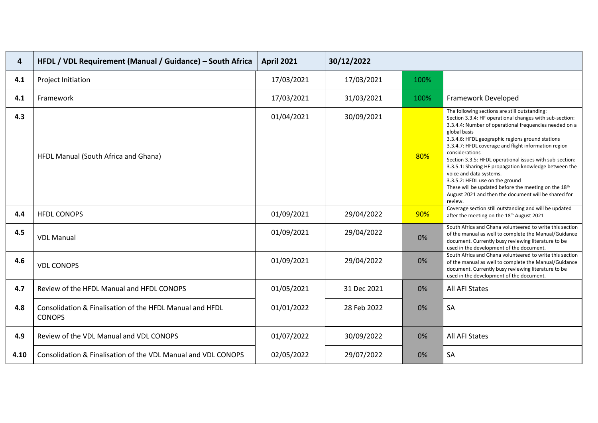| 4    | HFDL / VDL Requirement (Manual / Guidance) - South Africa                 | <b>April 2021</b> | 30/12/2022  |      |                                                                                                                                                                                                                                                                                                                                                                                                                                                                                                                                                                                                                                |
|------|---------------------------------------------------------------------------|-------------------|-------------|------|--------------------------------------------------------------------------------------------------------------------------------------------------------------------------------------------------------------------------------------------------------------------------------------------------------------------------------------------------------------------------------------------------------------------------------------------------------------------------------------------------------------------------------------------------------------------------------------------------------------------------------|
| 4.1  | Project Initiation                                                        | 17/03/2021        | 17/03/2021  | 100% |                                                                                                                                                                                                                                                                                                                                                                                                                                                                                                                                                                                                                                |
| 4.1  | Framework                                                                 | 17/03/2021        | 31/03/2021  | 100% | Framework Developed                                                                                                                                                                                                                                                                                                                                                                                                                                                                                                                                                                                                            |
| 4.3  | HFDL Manual (South Africa and Ghana)                                      | 01/04/2021        | 30/09/2021  | 80%  | The following sections are still outstanding:<br>Section 3.3.4: HF operational changes with sub-section:<br>3.3.4.4: Number of operational frequencies needed on a<br>global basis<br>3.3.4.6: HFDL geographic regions ground stations<br>3.3.4.7: HFDL coverage and flight information region<br>considerations<br>Section 3.3.5: HFDL operational issues with sub-section:<br>3.3.5.1: Sharing HF propagation knowledge between the<br>voice and data systems.<br>3.3.5.2: HFDL use on the ground<br>These will be updated before the meeting on the 18th<br>August 2021 and then the document will be shared for<br>review. |
| 4.4  | <b>HFDL CONOPS</b>                                                        | 01/09/2021        | 29/04/2022  | 90%  | Coverage section still outstanding and will be updated<br>after the meeting on the 18th August 2021                                                                                                                                                                                                                                                                                                                                                                                                                                                                                                                            |
| 4.5  | <b>VDL Manual</b>                                                         | 01/09/2021        | 29/04/2022  | 0%   | South Africa and Ghana volunteered to write this section<br>of the manual as well to complete the Manual/Guidance<br>document. Currently busy reviewing literature to be<br>used in the development of the document.                                                                                                                                                                                                                                                                                                                                                                                                           |
| 4.6  | <b>VDL CONOPS</b>                                                         | 01/09/2021        | 29/04/2022  | 0%   | South Africa and Ghana volunteered to write this section<br>of the manual as well to complete the Manual/Guidance<br>document. Currently busy reviewing literature to be<br>used in the development of the document.                                                                                                                                                                                                                                                                                                                                                                                                           |
| 4.7  | Review of the HFDL Manual and HFDL CONOPS                                 | 01/05/2021        | 31 Dec 2021 | 0%   | All AFI States                                                                                                                                                                                                                                                                                                                                                                                                                                                                                                                                                                                                                 |
| 4.8  | Consolidation & Finalisation of the HFDL Manual and HFDL<br><b>CONOPS</b> | 01/01/2022        | 28 Feb 2022 | 0%   | SA                                                                                                                                                                                                                                                                                                                                                                                                                                                                                                                                                                                                                             |
| 4.9  | Review of the VDL Manual and VDL CONOPS                                   | 01/07/2022        | 30/09/2022  | 0%   | All AFI States                                                                                                                                                                                                                                                                                                                                                                                                                                                                                                                                                                                                                 |
| 4.10 | Consolidation & Finalisation of the VDL Manual and VDL CONOPS             | 02/05/2022        | 29/07/2022  | 0%   | SA                                                                                                                                                                                                                                                                                                                                                                                                                                                                                                                                                                                                                             |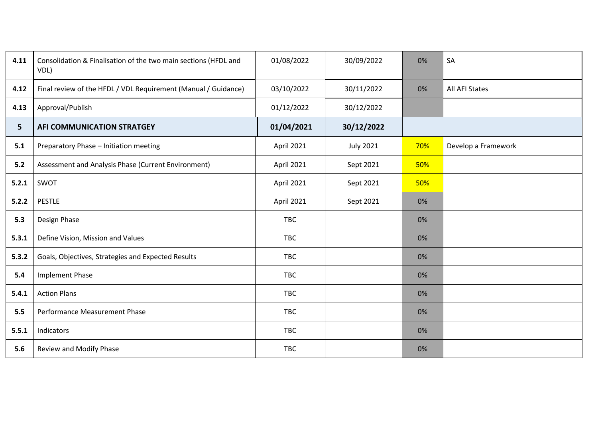| 4.11           | Consolidation & Finalisation of the two main sections (HFDL and<br>VDL) | 01/08/2022 | 30/09/2022       | 0%  | SA                  |
|----------------|-------------------------------------------------------------------------|------------|------------------|-----|---------------------|
| 4.12           | Final review of the HFDL / VDL Requirement (Manual / Guidance)          | 03/10/2022 | 30/11/2022       | 0%  | All AFI States      |
| 4.13           | Approval/Publish                                                        | 01/12/2022 | 30/12/2022       |     |                     |
| 5 <sup>5</sup> | AFI COMMUNICATION STRATGEY                                              | 01/04/2021 | 30/12/2022       |     |                     |
| 5.1            | Preparatory Phase - Initiation meeting                                  | April 2021 | <b>July 2021</b> | 70% | Develop a Framework |
| 5.2            | Assessment and Analysis Phase (Current Environment)                     | April 2021 | Sept 2021        | 50% |                     |
| 5.2.1          | SWOT                                                                    | April 2021 | Sept 2021        | 50% |                     |
| 5.2.2          | <b>PESTLE</b>                                                           | April 2021 | Sept 2021        | 0%  |                     |
| 5.3            | Design Phase                                                            | <b>TBC</b> |                  | 0%  |                     |
| 5.3.1          | Define Vision, Mission and Values                                       | <b>TBC</b> |                  | 0%  |                     |
| 5.3.2          | Goals, Objectives, Strategies and Expected Results                      | <b>TBC</b> |                  | 0%  |                     |
| 5.4            | <b>Implement Phase</b>                                                  | <b>TBC</b> |                  | 0%  |                     |
| 5.4.1          | <b>Action Plans</b>                                                     | <b>TBC</b> |                  | 0%  |                     |
| 5.5            | Performance Measurement Phase                                           | TBC        |                  | 0%  |                     |
| 5.5.1          | Indicators                                                              | <b>TBC</b> |                  | 0%  |                     |
| 5.6            | Review and Modify Phase                                                 | <b>TBC</b> |                  | 0%  |                     |